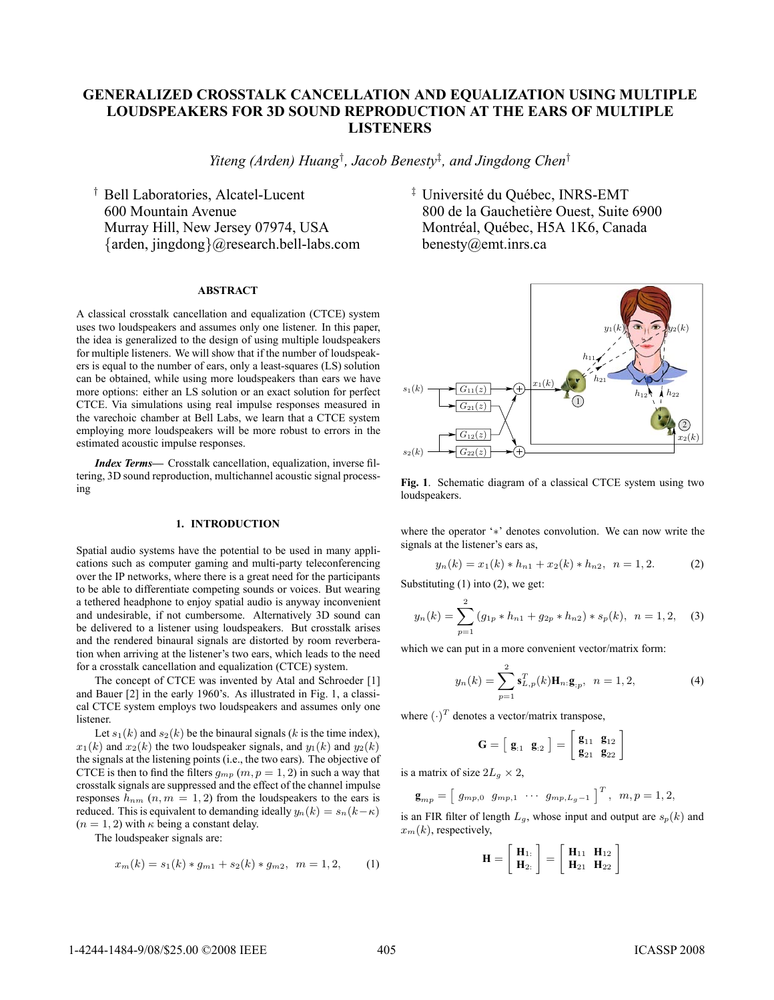# **GENERALIZED CROSSTALK CANCELLATION AND EQUALIZATION USING MULTIPLE LOUDSPEAKERS FOR 3D SOUND REPRODUCTION AT THE EARS OF MULTIPLE LISTENERS**

*Yiteng (Arden) Huang*† *, Jacob Benesty*‡ *, and Jingdong Chen*†

† Bell Laboratories, Alcatel-Lucent 600 Mountain Avenue Murray Hill, New Jersey 07974, USA {arden, jingdong}@research.bell-labs.com

## **ABSTRACT**

A classical crosstalk cancellation and equalization (CTCE) system uses two loudspeakers and assumes only one listener. In this paper, the idea is generalized to the design of using multiple loudspeakers for multiple listeners. We will show that if the number of loudspeakers is equal to the number of ears, only a least-squares (LS) solution can be obtained, while using more loudspeakers than ears we have more options: either an LS solution or an exact solution for perfect CTCE. Via simulations using real impulse responses measured in the varechoic chamber at Bell Labs, we learn that a CTCE system employing more loudspeakers will be more robust to errors in the estimated acoustic impulse responses.

*Index Terms*— Crosstalk cancellation, equalization, inverse filtering, 3D sound reproduction, multichannel acoustic signal processing

## **1. INTRODUCTION**

Spatial audio systems have the potential to be used in many applications such as computer gaming and multi-party teleconferencing over the IP networks, where there is a great need for the participants to be able to differentiate competing sounds or voices. But wearing a tethered headphone to enjoy spatial audio is anyway inconvenient and undesirable, if not cumbersome. Alternatively 3D sound can be delivered to a listener using loudspeakers. But crosstalk arises and the rendered binaural signals are distorted by room reverberation when arriving at the listener's two ears, which leads to the need for a crosstalk cancellation and equalization (CTCE) system.

The concept of CTCE was invented by Atal and Schroeder [1] and Bauer [2] in the early 1960's. As illustrated in Fig. 1, a classical CTCE system employs two loudspeakers and assumes only one listener.

Let  $s_1(k)$  and  $s_2(k)$  be the binaural signals (k is the time index),  $x_1(k)$  and  $x_2(k)$  the two loudspeaker signals, and  $y_1(k)$  and  $y_2(k)$ the signals at the listening points (i.e., the two ears). The objective of CTCE is then to find the filters  $q_{mp}$   $(m, p = 1, 2)$  in such a way that crosstalk signals are suppressed and the effect of the channel impulse responses  $\bar{h}_{nm}$   $(n, m = 1, 2)$  from the loudspeakers to the ears is reduced. This is equivalent to demanding ideally  $y_n(k) = s_n(k-\kappa)$  $(n = 1, 2)$  with  $\kappa$  being a constant delay.

The loudspeaker signals are:

$$
x_m(k) = s_1(k) * g_{m1} + s_2(k) * g_{m2}, \quad m = 1, 2, \tag{1}
$$

 $\ddagger$  Université du Québec, INRS-EMT 800 de la Gauchetière Ouest, Suite 6900 Montréal, Québec, H5A 1K6, Canada benesty@emt.inrs.ca



**Fig. 1**. Schematic diagram of a classical CTCE system using two loudspeakers.

where the operator '∗' denotes convolution. We can now write the signals at the listener's ears as,

$$
y_n(k) = x_1(k) * h_{n1} + x_2(k) * h_{n2}, \quad n = 1, 2. \tag{2}
$$

Substituting (1) into (2), we get:

$$
y_n(k) = \sum_{p=1}^{2} (g_{1p} * h_{n1} + g_{2p} * h_{n2}) * s_p(k), \ \ n = 1, 2, \quad (3)
$$

which we can put in a more convenient vector/matrix form:

$$
y_n(k) = \sum_{p=1}^{2} \mathbf{s}_{L,p}^T(k) \mathbf{H}_n \mathbf{g}_{:p}, \ \ n = 1, 2,
$$
 (4)

where  $(\cdot)^T$  denotes a vector/matrix transpose,

$$
\mathbf{G} = \left[ \begin{array}{cc} \mathbf{g}_{:1} & \mathbf{g}_{:2} \end{array} \right] = \left[ \begin{array}{cc} \mathbf{g}_{11} & \mathbf{g}_{12} \\ \mathbf{g}_{21} & \mathbf{g}_{22} \end{array} \right]
$$

is a matrix of size  $2L_q \times 2$ ,

$$
\mathbf{g}_{mp} = \left[ g_{mp,0} \ g_{mp,1} \ \cdots \ g_{mp,L_g-1} \right]^T, \ m, p = 1, 2,
$$

is an FIR filter of length  $L_g$ , whose input and output are  $s_p(k)$  and  $x_m(k)$ , respectively,

$$
\mathbf{H} = \left[ \begin{array}{c} \mathbf{H}_{1:} \\ \mathbf{H}_{2:} \end{array} \right] = \left[ \begin{array}{cc} \mathbf{H}_{11} & \mathbf{H}_{12} \\ \mathbf{H}_{21} & \mathbf{H}_{22} \end{array} \right]
$$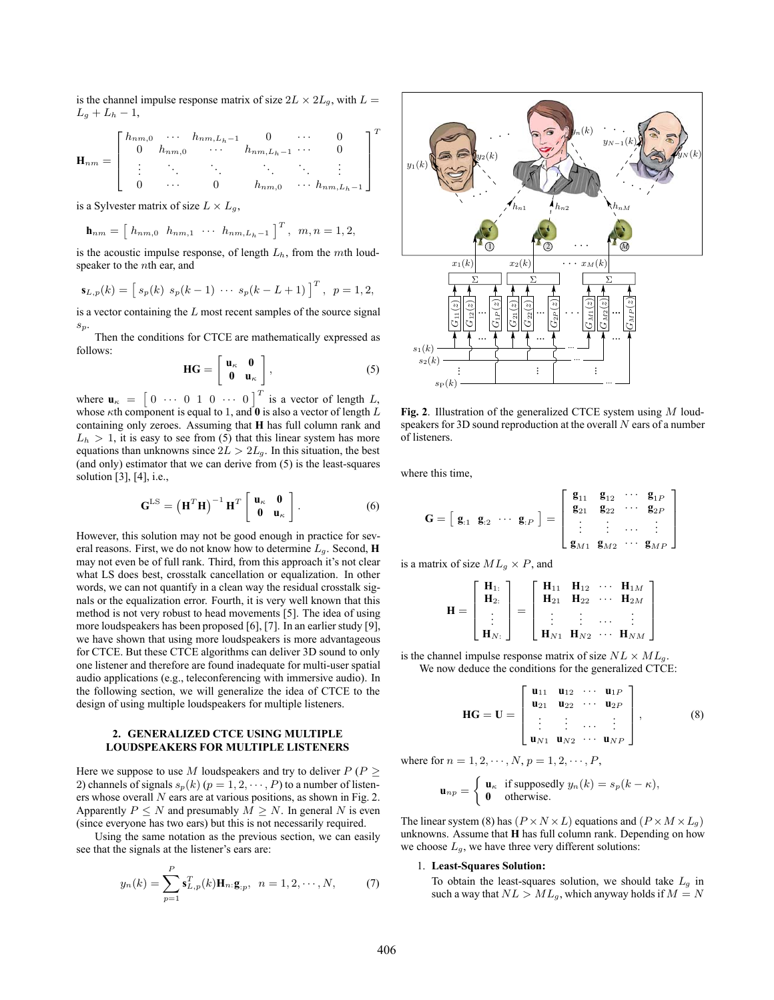is the channel impulse response matrix of size  $2L \times 2L_q$ , with  $L =$  $L_q + L_h - 1$ ,

$$
\mathbf{H}_{nm} = \begin{bmatrix} h_{nm,0} & \cdots & h_{nm,L_h-1} & 0 & \cdots & 0 \\ 0 & h_{nm,0} & \cdots & h_{nm,L_h-1} & \cdots & 0 \\ \vdots & \ddots & \ddots & \ddots & \ddots & \vdots \\ 0 & \cdots & 0 & h_{nm,0} & \cdots & h_{nm,L_h-1} \end{bmatrix}^T
$$

is a Sylvester matrix of size  $L \times L_q$ ,

$$
\mathbf{h}_{nm} = [h_{nm,0} \ \ h_{nm,1} \ \ \cdots \ \ h_{nm,L_h-1}]^T, \ \ m,n = 1,2,
$$

is the acoustic impulse response, of length  $L<sub>h</sub>$ , from the mth loudspeaker to the *n*th ear, and

$$
\mathbf{s}_{L,p}(k) = \left[ s_p(k) \ s_p(k-1) \ \cdots \ s_p(k-L+1) \right]^T, \ p = 1, 2,
$$

is a vector containing the  $L$  most recent samples of the source signal  $\sqrt{s_p}$ 

Then the conditions for CTCE are mathematically expressed as follows:

$$
\mathbf{HG} = \left[ \begin{array}{cc} \mathbf{u}_{\kappa} & \mathbf{0} \\ \mathbf{0} & \mathbf{u}_{\kappa} \end{array} \right],\tag{5}
$$

where  $\mathbf{u}_{\kappa} = \begin{bmatrix} 0 & \cdots & 0 & 1 & 0 & \cdots & 0 \end{bmatrix}^T$  is a vector of length L, whose  $\kappa$ th component is equal to 1, and  $\vec{0}$  is also a vector of length L containing only zeroes. Assuming that **H** has full column rank and  $L<sub>h</sub> > 1$ , it is easy to see from (5) that this linear system has more equations than unknowns since  $2L > 2L_g$ . In this situation, the best (and only) estimator that we can derive from (5) is the least-squares solution [3], [4], i.e.,

$$
\mathbf{G}^{\text{LS}} = \left(\mathbf{H}^T \mathbf{H}\right)^{-1} \mathbf{H}^T \begin{bmatrix} \mathbf{u}_{\kappa} & \mathbf{0} \\ \mathbf{0} & \mathbf{u}_{\kappa} \end{bmatrix} . \tag{6}
$$

However, this solution may not be good enough in practice for several reasons. First, we do not know how to determine <sup>L</sup>g. Second, **<sup>H</sup>** may not even be of full rank. Third, from this approach it's not clear what LS does best, crosstalk cancellation or equalization. In other words, we can not quantify in a clean way the residual crosstalk signals or the equalization error. Fourth, it is very well known that this method is not very robust to head movements [5]. The idea of using more loudspeakers has been proposed [6], [7]. In an earlier study [9], we have shown that using more loudspeakers is more advantageous for CTCE. But these CTCE algorithms can deliver 3D sound to only one listener and therefore are found inadequate for multi-user spatial audio applications (e.g., teleconferencing with immersive audio). In the following section, we will generalize the idea of CTCE to the design of using multiple loudspeakers for multiple listeners.

### **2. GENERALIZED CTCE USING MULTIPLE LOUDSPEAKERS FOR MULTIPLE LISTENERS**

Here we suppose to use M loudspeakers and try to deliver  $P(P \geq$ 2) channels of signals  $s_p(k)$  ( $p = 1, 2, \dots, P$ ) to a number of listeners whose overall N ears are at various positions, as shown in Fig. 2. Apparently  $P \leq N$  and presumably  $M \geq N$ . In general N is even (since everyone has two ears) but this is not necessarily required.

Using the same notation as the previous section, we can easily see that the signals at the listener's ears are:

$$
y_n(k) = \sum_{p=1}^{P} \mathbf{s}_{L,p}^T(k) \mathbf{H}_{n:} \mathbf{g}_{:p}, \ \ n = 1, 2, \cdots, N,
$$
 (7)



**Fig. 2**. Illustration of the generalized CTCE system using M loudspeakers for 3D sound reproduction at the overall  $N$  ears of a number of listeners.

where this time,

$$
\mathbf{G} = [\mathbf{g}_{:1} \ \mathbf{g}_{:2} \ \cdots \ \mathbf{g}_{:P}] = \left[\begin{array}{cccc} \mathbf{g}_{11} & \mathbf{g}_{12} & \cdots & \mathbf{g}_{1P} \\ \mathbf{g}_{21} & \mathbf{g}_{22} & \cdots & \mathbf{g}_{2P} \\ \vdots & \vdots & \cdots & \vdots \\ \mathbf{g}_{M1} & \mathbf{g}_{M2} & \cdots & \mathbf{g}_{MP} \end{array}\right]
$$

is a matrix of size  $ML_q \times P$ , and

$$
\mathbf{H} = \begin{bmatrix} \mathbf{H}_{1:} \\ \mathbf{H}_{2:} \\ \vdots \\ \mathbf{H}_{N:} \end{bmatrix} = \begin{bmatrix} \mathbf{H}_{11} & \mathbf{H}_{12} & \cdots & \mathbf{H}_{1M} \\ \mathbf{H}_{21} & \mathbf{H}_{22} & \cdots & \mathbf{H}_{2M} \\ \vdots & \vdots & \cdots & \vdots \\ \mathbf{H}_{N1} & \mathbf{H}_{N2} & \cdots & \mathbf{H}_{NM} \end{bmatrix}
$$

is the channel impulse response matrix of size  $NL \times ML_q$ . We now deduce the conditions for the generalized CTCE:

$$
\mathbf{HG} = \mathbf{U} = \begin{bmatrix} \mathbf{u}_{11} & \mathbf{u}_{12} & \cdots & \mathbf{u}_{1P} \\ \mathbf{u}_{21} & \mathbf{u}_{22} & \cdots & \mathbf{u}_{2P} \\ \vdots & \vdots & \ddots & \vdots \\ \mathbf{u}_{N1} & \mathbf{u}_{N2} & \cdots & \mathbf{u}_{NP} \end{bmatrix},
$$
(8)

where for  $n = 1, 2, \dots, N, p = 1, 2, \dots, P$ ,

$$
\mathbf{u}_{np} = \begin{cases} \mathbf{u}_{\kappa} & \text{if supposedly } y_n(k) = s_p(k - \kappa), \\ \mathbf{0} & \text{otherwise.} \end{cases}
$$

The linear system (8) has  $(P \times N \times L)$  equations and  $(P \times M \times L_g)$ unknowns. Assume that **H** has full column rank. Depending on how we choose  $L_g$ , we have three very different solutions:

## 1. **Least-Squares Solution:**

To obtain the least-squares solution, we should take  $L_g$  in such a way that  $NL > ML_g$ , which anyway holds if  $M = N$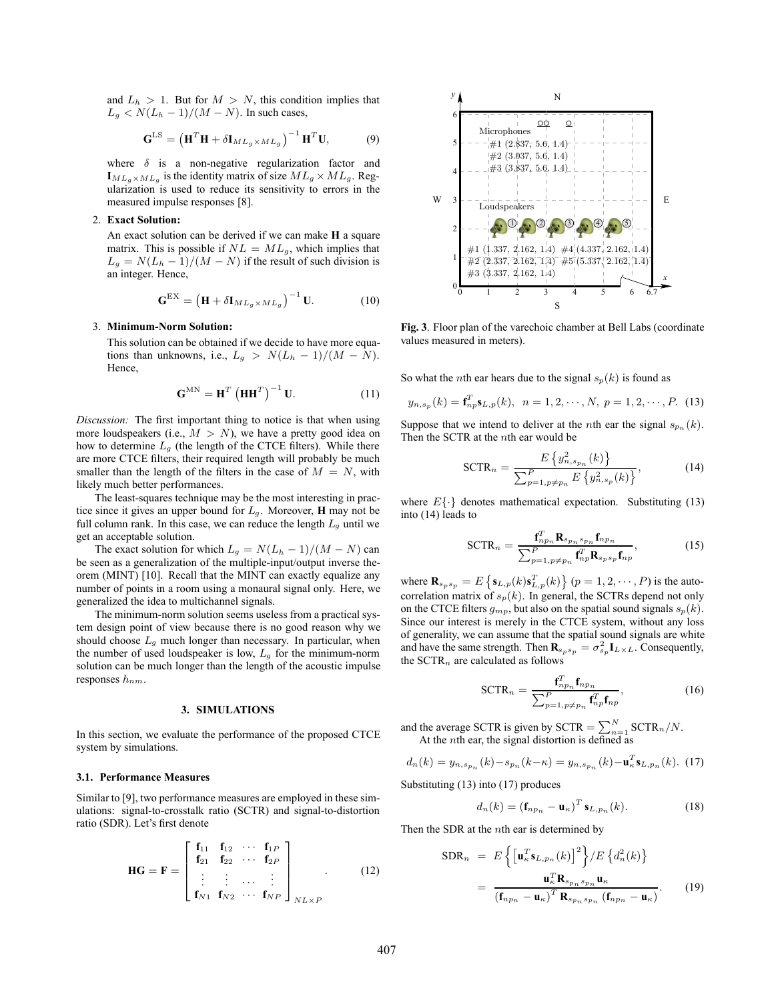and  $L_h > 1$ . But for  $M > N$ , this condition implies that  $L_q \lt N(L_h-1)/(M-N)$ . In such cases,

$$
\mathbf{G}^{\text{LS}} = \left(\mathbf{H}^T \mathbf{H} + \delta \mathbf{I}_{ML_g \times ML_g}\right)^{-1} \mathbf{H}^T \mathbf{U},\tag{9}
$$

where  $\delta$  is a non-negative regularization factor and  $I_{ML_a \times ML_a}$  is the identity matrix of size  $ML_a \times ML_a$ . Regularization is used to reduce its sensitivity to errors in the measured impulse responses [8].

### 2. **Exact Solution:**

An exact solution can be derived if we can make **H** a square matrix. This is possible if  $NL = ML_g$ , which implies that  $L_g = N(L_h - 1)/(M - N)$  if the result of such division is an integer. Hence,

$$
\mathbf{G}^{\text{EX}} = \left(\mathbf{H} + \delta \mathbf{I}_{ML_g \times ML_g}\right)^{-1} \mathbf{U}.
$$
 (10)

#### 3. **Minimum-Norm Solution:**

This solution can be obtained if we decide to have more equations than unknowns, i.e.,  $L_q > N(L_h - 1)/(M - N)$ . Hence,

$$
\mathbf{G}^{\mathbf{M}\mathbf{N}} = \mathbf{H}^T \left( \mathbf{H}\mathbf{H}^T \right)^{-1} \mathbf{U}.
$$
 (11)

*Discussion:* The first important thing to notice is that when using more loudspeakers (i.e.,  $M > N$ ), we have a pretty good idea on how to determine  $L_q$  (the length of the CTCE filters). While there are more CTCE filters, their required length will probably be much smaller than the length of the filters in the case of  $M = N$ , with likely much better performances.

The least-squares technique may be the most interesting in practice since it gives an upper bound for  $L_g$ . Moreover, **H** may not be full column rank. In this case, we can reduce the length  $L<sub>g</sub>$  until we get an acceptable solution.

The exact solution for which  $L_g = N(L_h - 1)/(M - N)$  can be seen as a generalization of the multiple-input/output inverse theorem (MINT) [10]. Recall that the MINT can exactly equalize any number of points in a room using a monaural signal only. Here, we generalized the idea to multichannel signals.

The minimum-norm solution seems useless from a practical system design point of view because there is no good reason why we should choose  $L_q$  much longer than necessary. In particular, when the number of used loudspeaker is low,  $L<sub>g</sub>$  for the minimum-norm solution can be much longer than the length of the acoustic impulse responses  $h_{nm}$ .

#### **3. SIMULATIONS**

In this section, we evaluate the performance of the proposed CTCE system by simulations.

## **3.1. Performance Measures**

Similar to [9], two performance measures are employed in these simulations: signal-to-crosstalk ratio (SCTR) and signal-to-distortion ratio (SDR). Let's first denote

$$
\mathbf{HG} = \mathbf{F} = \begin{bmatrix} \mathbf{f}_{11} & \mathbf{f}_{12} & \cdots & \mathbf{f}_{1P} \\ \mathbf{f}_{21} & \mathbf{f}_{22} & \cdots & \mathbf{f}_{2P} \\ \vdots & \vdots & \cdots & \vdots \\ \mathbf{f}_{N1} & \mathbf{f}_{N2} & \cdots & \mathbf{f}_{NP} \end{bmatrix}_{N L \times P} . \tag{12}
$$



**Fig. 3**. Floor plan of the varechoic chamber at Bell Labs (coordinate values measured in meters).

So what the *n*th ear hears due to the signal  $s_p(k)$  is found as

$$
y_{n,s_p}(k) = \mathbf{f}_{np}^T \mathbf{s}_{L,p}(k), \ \ n = 1, 2, \cdots, N, \ p = 1, 2, \cdots, P. \tag{13}
$$

Suppose that we intend to deliver at the *n*th ear the signal  $s_{p_n}(k)$ . Then the SCTR at the nth ear would be

$$
SCTR_n = \frac{E\left\{y_{n, s_{p_n}}^2(k)\right\}}{\sum_{p=1, p \neq p_n}^P E\left\{y_{n, s_p}^2(k)\right\}},
$$
(14)

where  $E\{\cdot\}$  denotes mathematical expectation. Substituting (13) into (14) leads to

$$
\text{SCTR}_n = \frac{\mathbf{f}_{np_n}^T \mathbf{R}_{s_{p_n} s_{p_n}} \mathbf{f}_{np_n}}{\sum_{p=1, p \neq p_n}^P \mathbf{f}_{np}^T \mathbf{R}_{s_p s_p} \mathbf{f}_{np}},\tag{15}
$$

where  $\mathbf{R}_{s_p s_p} = E\left\{\mathbf{s}_{L,p}(k)\mathbf{s}_{L,p}^T(k)\right\}$   $(p = 1, 2, \dots, P)$  is the auto-<br>completion matrix of  $p(A)$ . In general, the SCTDs dependent rule correlation matrix of  $s_p(k)$ . In general, the SCTRs depend not only on the CTCE filters  $g_{mp}$ , but also on the spatial sound signals  $s_p(k)$ . Since our interest is merely in the CTCE system, without any loss of generality, we can assume that the spatial sound signals are white and have the same strength. Then  $\mathbf{R}_{s_p s_p} = \sigma_{s_p}^2 \mathbf{I}_{L \times L}$ . Consequently, the SCTR<sub>n</sub> are calculated as follows

$$
SCTR_n = \frac{\mathbf{f}_{np_n}^T \mathbf{f}_{np_n}}{\sum_{p=1, p \neq p_n}^P \mathbf{f}_{np}^T \mathbf{f}_{np}},
$$
(16)

and the average SCTR is given by SCTR =  $\sum_{n=1}^{N}$  SCTR<sub>n</sub>/N.<br>At the *n*th ear, the signal distortion is defined as

$$
d_n(k) = y_{n, s_{p_n}}(k) - s_{p_n}(k - \kappa) = y_{n, s_{p_n}}(k) - \mathbf{u}_\kappa^T \mathbf{s}_{L, p_n}(k).
$$
 (17)

Substituting (13) into (17) produces

$$
d_n(k) = \left(\mathbf{f}_{np_n} - \mathbf{u}_{\kappa}\right)^T \mathbf{s}_{L,p_n}(k). \tag{18}
$$

Then the SDR at the *n*th ear is determined by

$$
SDR_n = E\left\{ \left[ \mathbf{u}_{\kappa}^T \mathbf{s}_{L, p_n}(k) \right]^2 \right\} / E\left\{ d_n^2(k) \right\}
$$

$$
= \frac{\mathbf{u}_{\kappa}^T \mathbf{R}_{s_{p_n} s_{p_n}} \mathbf{u}_{\kappa}}{\left( \mathbf{f}_{n p_n} - \mathbf{u}_{\kappa} \right)^T \mathbf{R}_{s_{p_n} s_{p_n}} \left( \mathbf{f}_{n p_n} - \mathbf{u}_{\kappa} \right)}.
$$
(19)